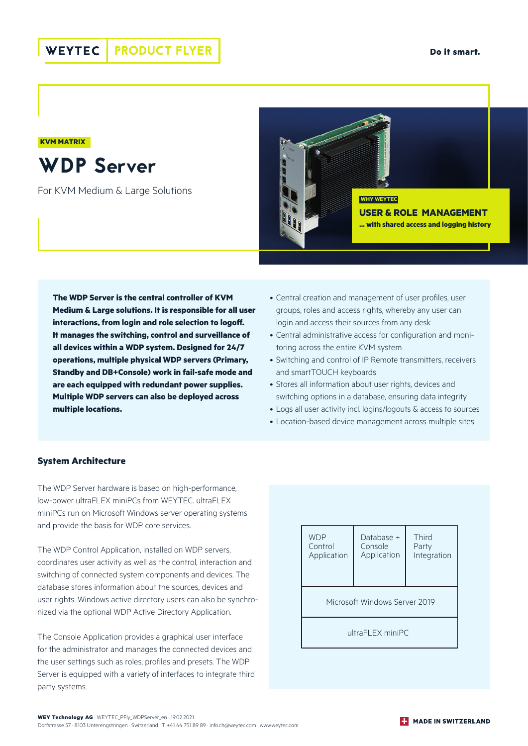**Do it smart.**

## **KVM MATRIX**

WDP Server

For KVM Medium & Large Solutions



**The WDP Server is the central controller of KVM Medium & Large solutions. It is responsible for all user interactions, from login and role selection to logoff. It manages the switching, control and surveillance of all devices within a WDP system. Designed for 24/7 operations, multiple physical WDP servers (Primary, Standby and DB+Console) work in fail-safe mode and are each equipped with redundant power supplies. Multiple WDP servers can also be deployed across multiple locations.** 

- Central creation and management of user profiles, user groups, roles and access rights, whereby any user can login and access their sources from any desk
- Central administrative access for configuration and monitoring across the entire KVM system
- Switching and control of IP Remote transmitters, receivers and smartTOUCH keyboards
- Stores all information about user rights, devices and switching options in a database, ensuring data integrity
- Logs all user activity incl. logins/logouts & access to sources
- Location-based device management across multiple sites

## **System Architecture**

The WDP Server hardware is based on high-performance, low-power ultraFLEX miniPCs from WEYTEC. ultraFLEX miniPCs run on Microsoft Windows server operating systems and provide the basis for WDP core services.

The WDP Control Application, installed on WDP servers coordinates user activity as well as the control, interaction and switching of connected system components and devices. The database stores information about the sources, devices and user rights. Windows active directory users can also be synchronized via the optional WDP Active Directory Application.

The Console Application provides a graphical user interface for the administrator and manages the connected devices and the user settings such as roles, profiles and presets. The WDP Server is equipped with a variety of interfaces to integrate third party systems.